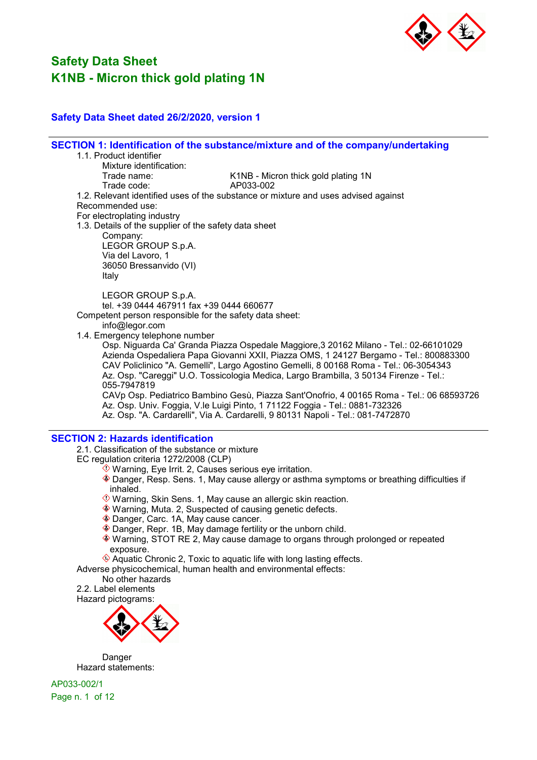

### Safety Data Sheet dated 26/2/2020, version 1

SECTION 1: Identification of the substance/mixture and of the company/undertaking

- 1.1. Product identifier
	- Mixture identification:<br>Trade name:
- K1NB Micron thick gold plating 1N<br>AP033-002

Trade code:

1.2. Relevant identified uses of the substance or mixture and uses advised against

Recommended use:

For electroplating industry

1.3. Details of the supplier of the safety data sheet

Company: LEGOR GROUP S.p.A. Via del Lavoro, 1 36050 Bressanvido (VI)

Italy

LEGOR GROUP S.p.A. tel. +39 0444 467911 fax +39 0444 660677

Competent person responsible for the safety data sheet:

info@legor.com

1.4. Emergency telephone number

Osp. Niguarda Ca' Granda Piazza Ospedale Maggiore,3 20162 Milano - Tel.: 02-66101029 Azienda Ospedaliera Papa Giovanni XXII, Piazza OMS, 1 24127 Bergamo - Tel.: 800883300 CAV Policlinico "A. Gemelli", Largo Agostino Gemelli, 8 00168 Roma - Tel.: 06-3054343 Az. Osp. "Careggi" U.O. Tossicologia Medica, Largo Brambilla, 3 50134 Firenze - Tel.: 055-7947819

CAVp Osp. Pediatrico Bambino Gesù, Piazza Sant'Onofrio, 4 00165 Roma - Tel.: 06 68593726 Az. Osp. Univ. Foggia, V.le Luigi Pinto, 1 71122 Foggia - Tel.: 0881-732326 Az. Osp. "A. Cardarelli", Via A. Cardarelli, 9 80131 Napoli - Tel.: 081-7472870

#### SECTION 2: Hazards identification

2.1. Classification of the substance or mixture

EC regulation criteria 1272/2008 (CLP)

- $\hat{\Diamond}$  Warning, Eye Irrit. 2, Causes serious eye irritation.
- Danger, Resp. Sens. 1, May cause allergy or asthma symptoms or breathing difficulties if inhaled.
- Warning, Skin Sens. 1, May cause an allergic skin reaction.
- Warning, Muta. 2, Suspected of causing genetic defects.
- ◆ Danger, Carc. 1A, May cause cancer.
- Danger, Repr. 1B, May damage fertility or the unborn child.
- Warning, STOT RE 2, May cause damage to organs through prolonged or repeated exposure.
- $\hat{\mathcal{L}}$  Aquatic Chronic 2, Toxic to aquatic life with long lasting effects.

Adverse physicochemical, human health and environmental effects:

No other hazards

2.2. Label elements





Danger Hazard statements:

AP033-002/1 Page n. 1 of 12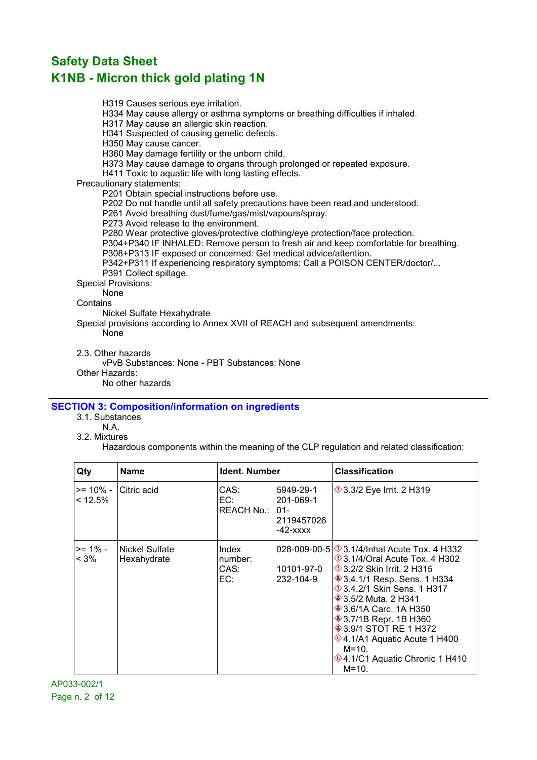H319 Causes serious eye irritation.

H334 May cause allergy or asthma symptoms or breathing difficulties if inhaled.

H317 May cause an allergic skin reaction.

H341 Suspected of causing genetic defects.

H350 May cause cancer.

H360 May damage fertility or the unborn child.

H373 May cause damage to organs through prolonged or repeated exposure.

H411 Toxic to aquatic life with long lasting effects.

Precautionary statements:

P201 Obtain special instructions before use.

P202 Do not handle until all safety precautions have been read and understood.

P261 Avoid breathing dust/fume/gas/mist/vapours/spray.

P273 Avoid release to the environment.

P280 Wear protective gloves/protective clothing/eye protection/face protection.

P304+P340 IF INHALED: Remove person to fresh air and keep comfortable for breathing.

P308+P313 IF exposed or concerned: Get medical advice/attention.

P342+P311 If experiencing respiratory symptoms: Call a POISON CENTER/doctor/... P391 Collect spillage.

Special Provisions:

None

**Contains** 

Nickel Sulfate Hexahydrate

Special provisions according to Annex XVII of REACH and subsequent amendments: None

2.3. Other hazards

vPvB Substances: None - PBT Substances: None

Other Hazards:

No other hazards

### SECTION 3: Composition/information on ingredients

- 3.1. Substances
	- N.A.
- 3.2. Mixtures

Hazardous components within the meaning of the CLP regulation and related classification:

| Qty                    | Name                          | Ident. Number                   |                                                      | <b>Classification</b>                                                                                                                                                                                                                                                                                                                                                                                                                             |
|------------------------|-------------------------------|---------------------------------|------------------------------------------------------|---------------------------------------------------------------------------------------------------------------------------------------------------------------------------------------------------------------------------------------------------------------------------------------------------------------------------------------------------------------------------------------------------------------------------------------------------|
| $>= 10\%$ -<br>< 12.5% | Citric acid                   | CAS:<br>EC:<br>REACH No.: 01-   | 5949-29-1<br>201-069-1<br>2119457026<br>$-42 - XXXX$ | $\Diamond$ 3.3/2 Eye Irrit. 2 H319                                                                                                                                                                                                                                                                                                                                                                                                                |
| $>= 1\%$ -<br>$< 3\%$  | Nickel Sulfate<br>Hexahydrate | Index<br>number:<br>CAS:<br>EC: | 10101-97-0<br>232-104-9                              | 028-009-00-5 $\otimes$ 3.1/4/Inhal Acute Tox, 4 H332<br>$\Diamond$ 3.1/4/Oral Acute Tox. 4 H302<br><b>1</b> 3.2/2 Skin Irrit. 2 H315<br><b>♦ 3.4.1/1 Resp. Sens. 1 H334</b><br>$\Diamond$ 3.4.2/1 Skin Sens. 1 H317<br><b>♦ 3.5/2 Muta. 2 H341</b><br><b>♦ 3.6/1A Carc. 1A H350</b><br><b>♦ 3.7/1B Repr. 1B H360</b><br><b>♦ 3.9/1 STOT RE 1 H372</b><br>♦4.1/A1 Aquatic Acute 1 H400<br>$M = 10.$<br>♦4.1/C1 Aquatic Chronic 1 H410<br>$M = 10.$ |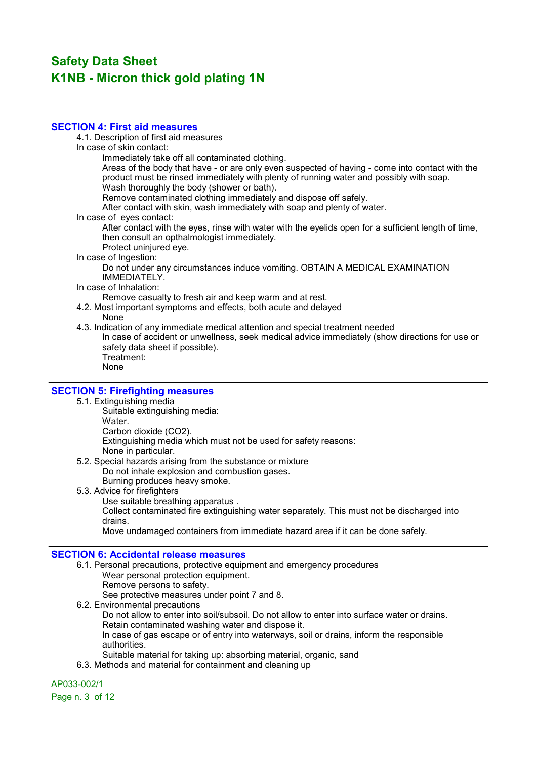#### SECTION 4: First aid measures

4.1. Description of first aid measures

- In case of skin contact:
	- Immediately take off all contaminated clothing.

Areas of the body that have - or are only even suspected of having - come into contact with the product must be rinsed immediately with plenty of running water and possibly with soap. Wash thoroughly the body (shower or bath).

Remove contaminated clothing immediately and dispose off safely.

After contact with skin, wash immediately with soap and plenty of water.

In case of eyes contact:

After contact with the eyes, rinse with water with the eyelids open for a sufficient length of time, then consult an opthalmologist immediately.

- Protect uninjured eye.
- In case of Ingestion:

Do not under any circumstances induce vomiting. OBTAIN A MEDICAL EXAMINATION IMMEDIATELY.

In case of Inhalation:

Remove casualty to fresh air and keep warm and at rest.

- 4.2. Most important symptoms and effects, both acute and delayed
	- None

4.3. Indication of any immediate medical attention and special treatment needed

In case of accident or unwellness, seek medical advice immediately (show directions for use or safety data sheet if possible).

Treatment: None

#### **SECTION 5: Firefighting measures**

- 5.1. Extinguishing media
	- Suitable extinguishing media: Water. Carbon dioxide (CO2).
		- Extinguishing media which must not be used for safety reasons:
			- None in particular.
- 5.2. Special hazards arising from the substance or mixture Do not inhale explosion and combustion gases. Burning produces heavy smoke.
- 5.3. Advice for firefighters Use suitable breathing apparatus . Collect contaminated fire extinguishing water separately. This must not be discharged into drains. Move undamaged containers from immediate hazard area if it can be done safely.

#### SECTION 6: Accidental release measures

6.1. Personal precautions, protective equipment and emergency procedures Wear personal protection equipment. Remove persons to safety. See protective measures under point 7 and 8. 6.2. Environmental precautions Do not allow to enter into soil/subsoil. Do not allow to enter into surface water or drains.

Retain contaminated washing water and dispose it. In case of gas escape or of entry into waterways, soil or drains, inform the responsible authorities.

- Suitable material for taking up: absorbing material, organic, sand
- 6.3. Methods and material for containment and cleaning up

#### AP033-002/1

Page n. 3 of 12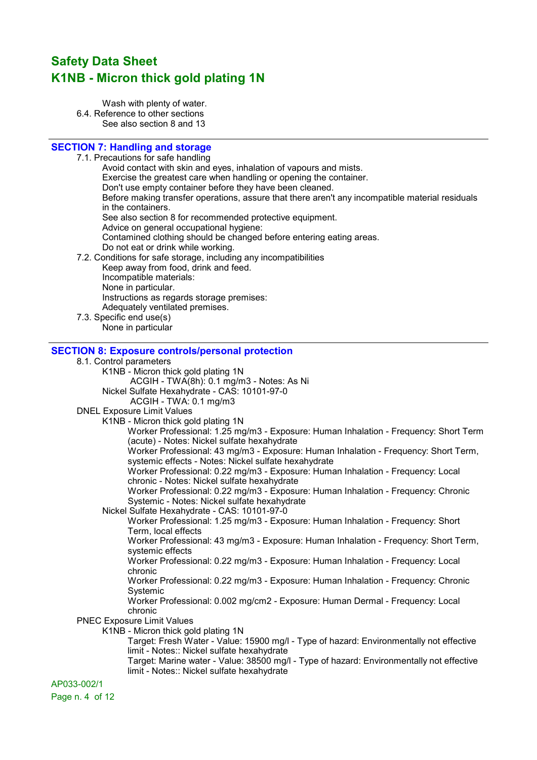Wash with plenty of water. 6.4. Reference to other sections See also section 8 and 13

### SECTION 7: Handling and storage

7.1. Precautions for safe handling

Avoid contact with skin and eyes, inhalation of vapours and mists. Exercise the greatest care when handling or opening the container. Don't use empty container before they have been cleaned. Before making transfer operations, assure that there aren't any incompatible material residuals in the containers. See also section 8 for recommended protective equipment. Advice on general occupational hygiene: Contamined clothing should be changed before entering eating areas. Do not eat or drink while working. 7.2. Conditions for safe storage, including any incompatibilities Keep away from food, drink and feed. Incompatible materials:

- -
	- None in particular.
	- Instructions as regards storage premises:
	- Adequately ventilated premises.
- 7.3. Specific end use(s) None in particular

### SECTION 8: Exposure controls/personal protection

| 8.1. Control parameters                                                                                                             |
|-------------------------------------------------------------------------------------------------------------------------------------|
| K1NB - Micron thick gold plating 1N                                                                                                 |
| ACGIH - TWA(8h): 0.1 mg/m3 - Notes: As Ni                                                                                           |
| Nickel Sulfate Hexahydrate - CAS: 10101-97-0                                                                                        |
| ACGIH - TWA: 0.1 mg/m3                                                                                                              |
| <b>DNEL Exposure Limit Values</b>                                                                                                   |
| K1NB - Micron thick gold plating 1N                                                                                                 |
| Worker Professional: 1.25 mg/m3 - Exposure: Human Inhalation - Frequency: Short Term<br>(acute) - Notes: Nickel sulfate hexahydrate |
| Worker Professional: 43 mg/m3 - Exposure: Human Inhalation - Frequency: Short Term,                                                 |
| systemic effects - Notes: Nickel sulfate hexahydrate                                                                                |
| Worker Professional: 0.22 mg/m3 - Exposure: Human Inhalation - Frequency: Local<br>chronic - Notes: Nickel sulfate hexahydrate      |
| Worker Professional: 0.22 mg/m3 - Exposure: Human Inhalation - Frequency: Chronic<br>Systemic - Notes: Nickel sulfate hexahydrate   |
| Nickel Sulfate Hexahydrate - CAS: 10101-97-0                                                                                        |
| Worker Professional: 1.25 mg/m3 - Exposure: Human Inhalation - Frequency: Short                                                     |
| Term, local effects                                                                                                                 |
| Worker Professional: 43 mg/m3 - Exposure: Human Inhalation - Frequency: Short Term,                                                 |
| systemic effects                                                                                                                    |
| Worker Professional: 0.22 mg/m3 - Exposure: Human Inhalation - Frequency: Local<br>chronic                                          |
| Worker Professional: 0.22 mg/m3 - Exposure: Human Inhalation - Frequency: Chronic                                                   |
| Systemic                                                                                                                            |
| Worker Professional: 0.002 mg/cm2 - Exposure: Human Dermal - Frequency: Local<br>chronic                                            |
| <b>PNEC Exposure Limit Values</b>                                                                                                   |
| K1NB - Micron thick gold plating 1N                                                                                                 |
| Target: Fresh Water - Value: 15900 mg/l - Type of hazard: Environmentally not effective                                             |
| limit - Notes:: Nickel sulfate hexahydrate                                                                                          |
| Target: Marine water - Value: 38500 mg/l - Type of hazard: Environmentally not effective                                            |
| limit - Notes:: Nickel sulfate hexahydrate                                                                                          |
| AP033-002/1                                                                                                                         |

Page n. 4 of 12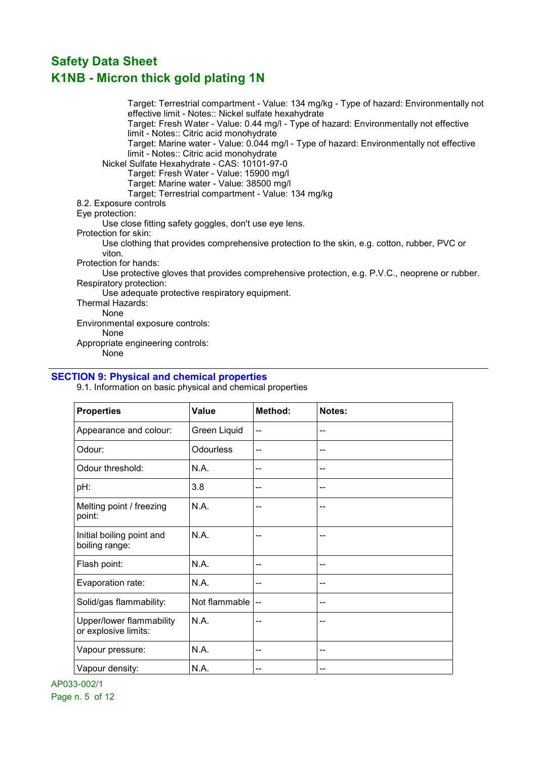Target: Terrestrial compartment - Value: 134 mg/kg - Type of hazard: Environmentally not effective limit - Notes:: Nickel sulfate hexahydrate Target: Fresh Water - Value: 0.44 mg/l - Type of hazard: Environmentally not effective limit - Notes:: Citric acid monohydrate Target: Marine water - Value: 0.044 mg/l - Type of hazard: Environmentally not effective limit - Notes:: Citric acid monohydrate Nickel Sulfate Hexahydrate - CAS: 10101-97-0 Target: Fresh Water - Value: 15900 mg/l Target: Marine water - Value: 38500 mg/l Target: Terrestrial compartment - Value: 134 mg/kg 8.2. Exposure controls Eye protection: Use close fitting safety goggles, don't use eye lens. Protection for skin: Use clothing that provides comprehensive protection to the skin, e.g. cotton, rubber, PVC or viton. Protection for hands: Use protective gloves that provides comprehensive protection, e.g. P.V.C., neoprene or rubber. Respiratory protection: Use adequate protective respiratory equipment. Thermal Hazards: None Environmental exposure controls: None Appropriate engineering controls:

None

### SECTION 9: Physical and chemical properties

9.1. Information on basic physical and chemical properties

| <b>Properties</b>                                | <b>Value</b>     | Method: | Notes:         |
|--------------------------------------------------|------------------|---------|----------------|
| Appearance and colour:                           | Green Liquid     | --      | --             |
| Odour:                                           | <b>Odourless</b> | --      | --             |
| Odour threshold:                                 | N.A.             | --      | --             |
| pH:                                              | 3.8              | --      | --             |
| Melting point / freezing<br>point:               | N.A.             | --      | --             |
| Initial boiling point and<br>boiling range:      | N.A.             | --      | --             |
| Flash point:                                     | N.A.             | --      | --             |
| Evaporation rate:                                | N.A.             | --      | --             |
| Solid/gas flammability:                          | Not flammable    | --      | --             |
| Upper/lower flammability<br>or explosive limits: | N.A.             | --      | --             |
| Vapour pressure:                                 | N.A.             | --      | $\overline{a}$ |
| Vapour density:                                  | N.A.             | --      | --             |

AP033-002/1 Page n. 5 of 12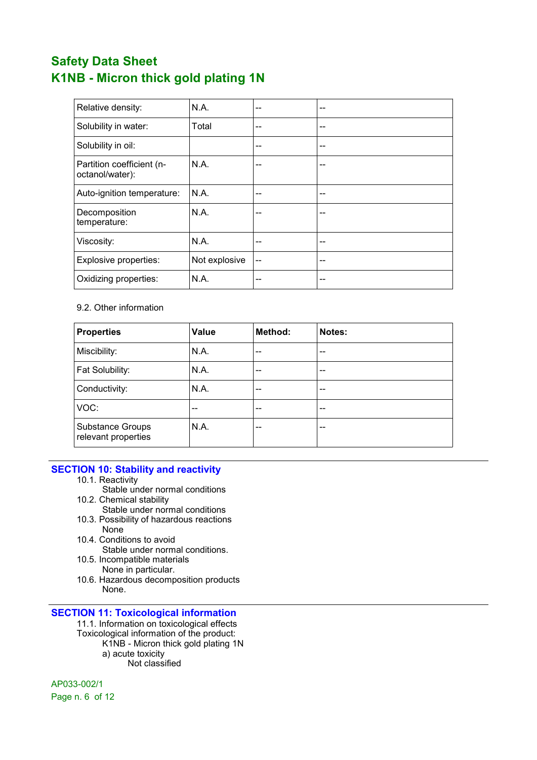| Relative density:                            | N.A.          | -- | -- |
|----------------------------------------------|---------------|----|----|
| Solubility in water:                         | Total         | -- | -- |
| Solubility in oil:                           |               | -- | -- |
| Partition coefficient (n-<br>octanol/water): | N.A.          | -- | -- |
| Auto-ignition temperature:                   | N.A.          | -- | -- |
| Decomposition<br>temperature:                | N.A.          | -- | -- |
| Viscosity:                                   | N.A.          | -- | -- |
| Explosive properties:                        | Not explosive | -- | -- |
| Oxidizing properties:                        | N.A.          | -- | -- |

### 9.2. Other information

| <b>Properties</b>                       | <b>Value</b> | Method: | Notes: |
|-----------------------------------------|--------------|---------|--------|
| Miscibility:                            | N.A.         | --      | --     |
| Fat Solubility:                         | N.A.         | $-$     | $- -$  |
| Conductivity:                           | N.A.         | --      | --     |
| VOC:                                    | --           | --      | --     |
| Substance Groups<br>relevant properties | N.A.         | --      | --     |

#### SECTION 10: Stability and reactivity

- 10.1. Reactivity
- Stable under normal conditions 10.2. Chemical stability
	- Stable under normal conditions
- 10.3. Possibility of hazardous reactions None
- 10.4. Conditions to avoid Stable under normal conditions.
- 10.5. Incompatible materials None in particular.
- 10.6. Hazardous decomposition products None.

#### SECTION 11: Toxicological information

11.1. Information on toxicological effects Toxicological information of the product: K1NB - Micron thick gold plating 1N a) acute toxicity Not classified

AP033-002/1

Page n. 6 of 12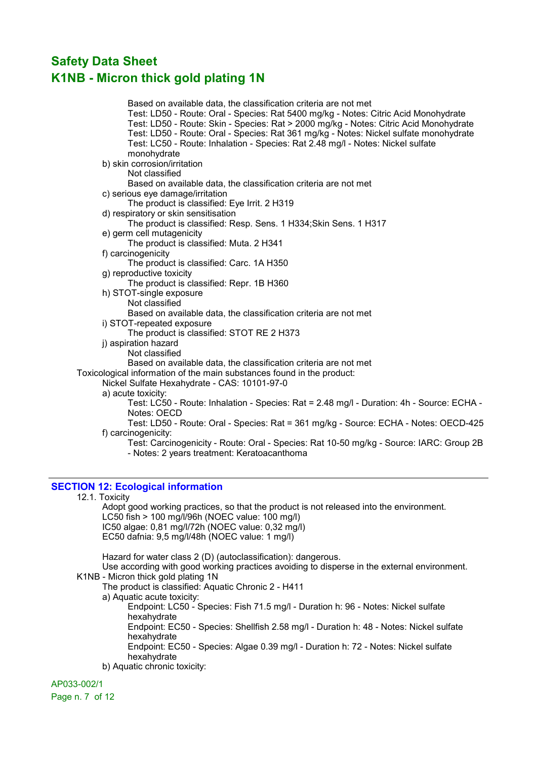Based on available data, the classification criteria are not met Test: LD50 - Route: Oral - Species: Rat 5400 mg/kg - Notes: Citric Acid Monohydrate Test: LD50 - Route: Skin - Species: Rat > 2000 mg/kg - Notes: Citric Acid Monohydrate Test: LD50 - Route: Oral - Species: Rat 361 mg/kg - Notes: Nickel sulfate monohydrate Test: LC50 - Route: Inhalation - Species: Rat 2.48 mg/l - Notes: Nickel sulfate monohydrate b) skin corrosion/irritation Not classified Based on available data, the classification criteria are not met c) serious eye damage/irritation The product is classified: Eye Irrit. 2 H319 d) respiratory or skin sensitisation The product is classified: Resp. Sens. 1 H334;Skin Sens. 1 H317 e) germ cell mutagenicity The product is classified: Muta. 2 H341 f) carcinogenicity The product is classified: Carc. 1A H350 g) reproductive toxicity The product is classified: Repr. 1B H360 h) STOT-single exposure Not classified Based on available data, the classification criteria are not met i) STOT-repeated exposure The product is classified: STOT RE 2 H373 j) aspiration hazard Not classified Based on available data, the classification criteria are not met Toxicological information of the main substances found in the product: Nickel Sulfate Hexahydrate - CAS: 10101-97-0 a) acute toxicity: Test: LC50 - Route: Inhalation - Species: Rat = 2.48 mg/l - Duration: 4h - Source: ECHA - Notes: OECD Test: LD50 - Route: Oral - Species: Rat = 361 mg/kg - Source: ECHA - Notes: OECD-425 f) carcinogenicity: Test: Carcinogenicity - Route: Oral - Species: Rat 10-50 mg/kg - Source: IARC: Group 2B - Notes: 2 years treatment: Keratoacanthoma

#### SECTION 12: Ecological information

#### 12.1. Toxicity

Adopt good working practices, so that the product is not released into the environment. LC50 fish > 100 mg/l/96h (NOEC value: 100 mg/l) IC50 algae: 0,81 mg/l/72h (NOEC value: 0,32 mg/l) EC50 dafnia: 9,5 mg/l/48h (NOEC value: 1 mg/l)

Hazard for water class 2 (D) (autoclassification): dangerous. Use according with good working practices avoiding to disperse in the external environment. K1NB - Micron thick gold plating 1N The product is classified: Aquatic Chronic 2 - H411

a) Aquatic acute toxicity:

Endpoint: LC50 - Species: Fish 71.5 mg/l - Duration h: 96 - Notes: Nickel sulfate hexahydrate Endpoint: EC50 - Species: Shellfish 2.58 mg/l - Duration h: 48 - Notes: Nickel sulfate

hexahydrate

Endpoint: EC50 - Species: Algae 0.39 mg/l - Duration h: 72 - Notes: Nickel sulfate hexahydrate

b) Aquatic chronic toxicity:

#### AP033-002/1

Page n. 7 of 12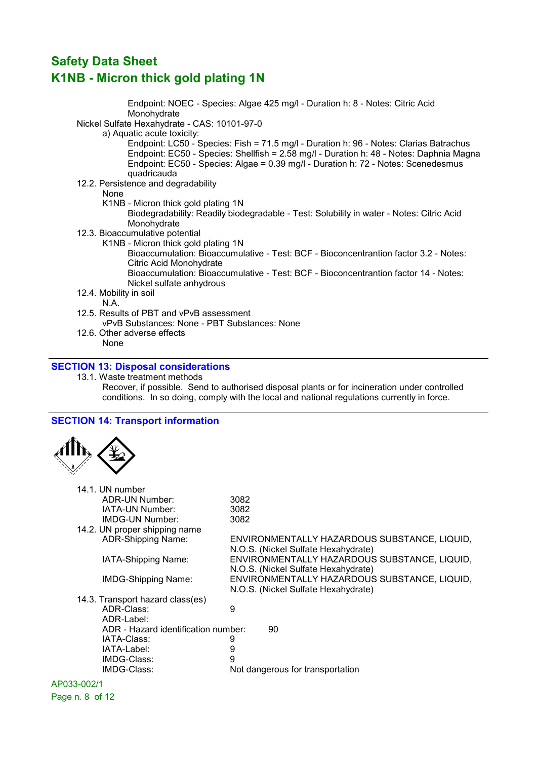Endpoint: NOEC - Species: Algae 425 mg/l - Duration h: 8 - Notes: Citric Acid Monohydrate Nickel Sulfate Hexahydrate - CAS: 10101-97-0 a) Aquatic acute toxicity: Endpoint: LC50 - Species: Fish = 71.5 mg/l - Duration h: 96 - Notes: Clarias Batrachus Endpoint: EC50 - Species: Shellfish = 2.58 mg/l - Duration h: 48 - Notes: Daphnia Magna Endpoint: EC50 - Species: Algae = 0.39 mg/l - Duration h: 72 - Notes: Scenedesmus quadricauda 12.2. Persistence and degradability None K1NB - Micron thick gold plating 1N Biodegradability: Readily biodegradable - Test: Solubility in water - Notes: Citric Acid Monohydrate 12.3. Bioaccumulative potential K1NB - Micron thick gold plating 1N Bioaccumulation: Bioaccumulative - Test: BCF - Bioconcentrantion factor 3.2 - Notes: Citric Acid Monohydrate Bioaccumulation: Bioaccumulative - Test: BCF - Bioconcentrantion factor 14 - Notes: Nickel sulfate anhydrous 12.4. Mobility in soil N.A. 12.5. Results of PBT and vPvB assessment vPvB Substances: None - PBT Substances: None 12.6. Other adverse effects None SECTION 13: Disposal considerations

#### 13.1. Waste treatment methods Recover, if possible. Send to authorised disposal plants or for incineration under controlled conditions. In so doing, comply with the local and national regulations currently in force.

#### SECTION 14: Transport information



| 14.1. UN number                     |                                                                                     |
|-------------------------------------|-------------------------------------------------------------------------------------|
| ADR-UN Number:                      | 3082                                                                                |
| IATA-UN Number:                     | 3082                                                                                |
| IMDG-UN Number:                     | 3082                                                                                |
| 14.2. UN proper shipping name       |                                                                                     |
| <b>ADR-Shipping Name:</b>           | ENVIRONMENTALLY HAZARDOUS SUBSTANCE, LIQUID,<br>N.O.S. (Nickel Sulfate Hexahydrate) |
| IATA-Shipping Name:                 | ENVIRONMENTALLY HAZARDOUS SUBSTANCE, LIQUID,<br>N.O.S. (Nickel Sulfate Hexahydrate) |
| <b>IMDG-Shipping Name:</b>          | ENVIRONMENTALLY HAZARDOUS SUBSTANCE, LIQUID,<br>N.O.S. (Nickel Sulfate Hexahydrate) |
| 14.3. Transport hazard class(es)    |                                                                                     |
| ADR-Class:                          | 9                                                                                   |
| ADR-Label:                          |                                                                                     |
| ADR - Hazard identification number: | 90                                                                                  |
| IATA-Class:                         | 9                                                                                   |
| IATA-Label:                         | 9                                                                                   |
| IMDG-Class:                         | 9                                                                                   |
| IMDG-Class:                         | Not dangerous for transportation                                                    |
|                                     |                                                                                     |

### AP033-002/1

Page n. 8 of 12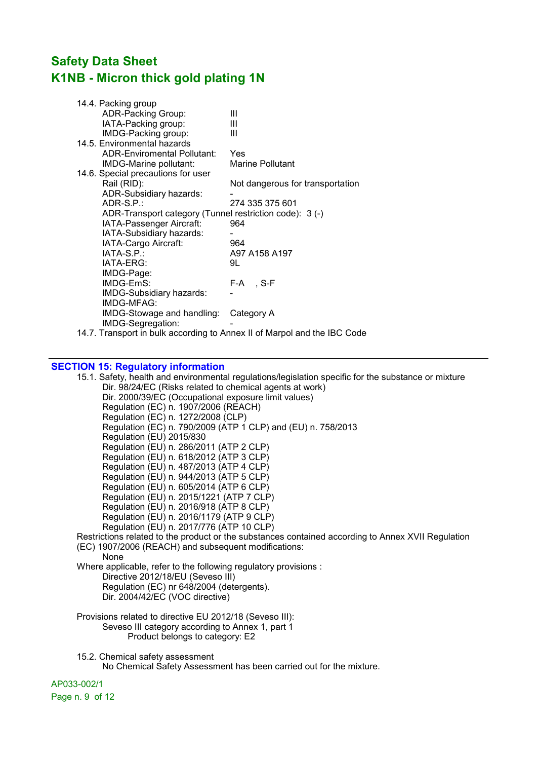| 14.4. Packing group                                     |                                  |
|---------------------------------------------------------|----------------------------------|
| <b>ADR-Packing Group:</b>                               | Ш                                |
| IATA-Packing group:                                     | Ш                                |
| IMDG-Packing group:                                     | Ш                                |
| 14.5. Environmental hazards                             |                                  |
| <b>ADR-Enviromental Pollutant:</b>                      | Yes                              |
| IMDG-Marine pollutant:                                  | <b>Marine Pollutant</b>          |
| 14.6. Special precautions for user                      |                                  |
| Rail (RID):                                             | Not dangerous for transportation |
| ADR-Subsidiary hazards:                                 |                                  |
| ADR-S.P.:                                               | 274 335 375 601                  |
| ADR-Transport category (Tunnel restriction code): 3 (-) |                                  |
| IATA-Passenger Aircraft:                                | 964                              |
| IATA-Subsidiary hazards:                                |                                  |
| IATA-Cargo Aircraft:                                    | 964                              |
| $IATA-S.P.:$                                            | A97 A158 A197                    |
| IATA-ERG:                                               | 9L                               |
| IMDG-Page:                                              |                                  |
| IMDG-EmS:                                               | F-A, S-F                         |
| IMDG-Subsidiary hazards:                                |                                  |
| IMDG-MFAG:                                              |                                  |
| IMDG-Stowage and handling:                              | Category A                       |
| IMDG-Segregation:                                       |                                  |

14.7. Transport in bulk according to Annex II of Marpol and the IBC Code

#### SECTION 15: Regulatory information

15.1. Safety, health and environmental regulations/legislation specific for the substance or mixture Dir. 98/24/EC (Risks related to chemical agents at work) Dir. 2000/39/EC (Occupational exposure limit values) Regulation (EC) n. 1907/2006 (REACH) Regulation (EC) n. 1272/2008 (CLP) Regulation (EC) n. 790/2009 (ATP 1 CLP) and (EU) n. 758/2013 Regulation (EU) 2015/830 Regulation (EU) n. 286/2011 (ATP 2 CLP) Regulation (EU) n. 618/2012 (ATP 3 CLP) Regulation (EU) n. 487/2013 (ATP 4 CLP) Regulation (EU) n. 944/2013 (ATP 5 CLP) Regulation (EU) n. 605/2014 (ATP 6 CLP) Regulation (EU) n. 2015/1221 (ATP 7 CLP) Regulation (EU) n. 2016/918 (ATP 8 CLP) Regulation (EU) n. 2016/1179 (ATP 9 CLP) Regulation (EU) n. 2017/776 (ATP 10 CLP) Restrictions related to the product or the substances contained according to Annex XVII Regulation (EC) 1907/2006 (REACH) and subsequent modifications: None Where applicable, refer to the following regulatory provisions : Directive 2012/18/EU (Seveso III) Regulation (EC) nr 648/2004 (detergents). Dir. 2004/42/EC (VOC directive) Provisions related to directive EU 2012/18 (Seveso III): Seveso III category according to Annex 1, part 1 Product belongs to category: E2 15.2. Chemical safety assessment No Chemical Safety Assessment has been carried out for the mixture.

AP033-002/1 Page n. 9 of 12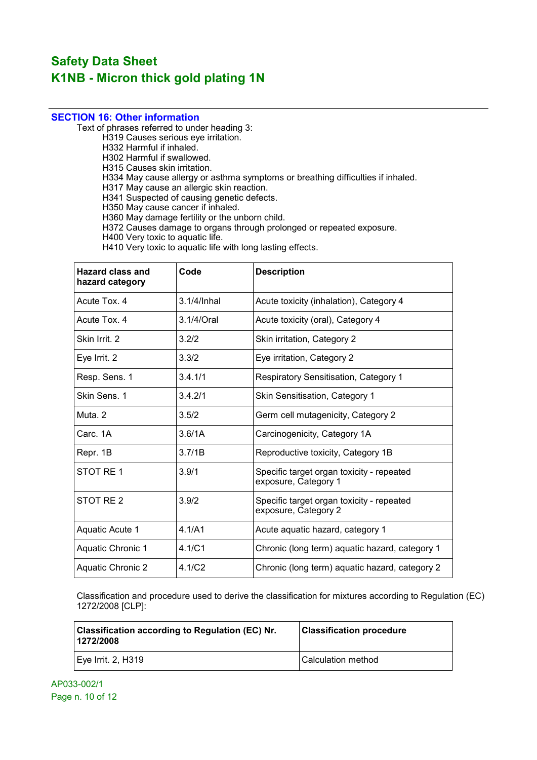### SECTION 16: Other information

Text of phrases referred to under heading 3:

H319 Causes serious eye irritation.

H332 Harmful if inhaled.

H302 Harmful if swallowed.

H315 Causes skin irritation.

H334 May cause allergy or asthma symptoms or breathing difficulties if inhaled.

H317 May cause an allergic skin reaction.

H341 Suspected of causing genetic defects.

H350 May cause cancer if inhaled.

H360 May damage fertility or the unborn child.

H372 Causes damage to organs through prolonged or repeated exposure.

H400 Very toxic to aquatic life.

H410 Very toxic to aquatic life with long lasting effects.

| <b>Hazard class and</b><br>hazard category | Code               | <b>Description</b>                                                |
|--------------------------------------------|--------------------|-------------------------------------------------------------------|
| Acute Tox, 4                               | 3.1/4/Inhal        | Acute toxicity (inhalation), Category 4                           |
| Acute Tox, 4                               | 3.1/4/Oral         | Acute toxicity (oral), Category 4                                 |
| Skin Irrit. 2                              | 3.2/2              | Skin irritation, Category 2                                       |
| Eye Irrit. 2                               | 3.3/2              | Eye irritation, Category 2                                        |
| Resp. Sens. 1                              | 3.4.1/1            | <b>Respiratory Sensitisation, Category 1</b>                      |
| Skin Sens. 1                               | 3.4.2/1            | Skin Sensitisation, Category 1                                    |
| Muta, 2                                    | 3.5/2              | Germ cell mutagenicity, Category 2                                |
| Carc. 1A                                   | 3.6/1A             | Carcinogenicity, Category 1A                                      |
| Repr. 1B                                   | 3.7/1B             | Reproductive toxicity, Category 1B                                |
| STOT RE 1                                  | 3.9/1              | Specific target organ toxicity - repeated<br>exposure, Category 1 |
| STOT RE 2                                  | 3.9/2              | Specific target organ toxicity - repeated<br>exposure, Category 2 |
| Aquatic Acute 1                            | 4.1/A1             | Acute aquatic hazard, category 1                                  |
| Aquatic Chronic 1                          | 4.1/C1             | Chronic (long term) aquatic hazard, category 1                    |
| <b>Aquatic Chronic 2</b>                   | 4.1/C <sub>2</sub> | Chronic (long term) aquatic hazard, category 2                    |

Classification and procedure used to derive the classification for mixtures according to Regulation (EC) 1272/2008 [CLP]:

| <b>Classification according to Regulation (EC) Nr.</b><br>1272/2008 | <b>Classification procedure</b> |
|---------------------------------------------------------------------|---------------------------------|
| Eye Irrit. 2, H319                                                  | l Calculation method            |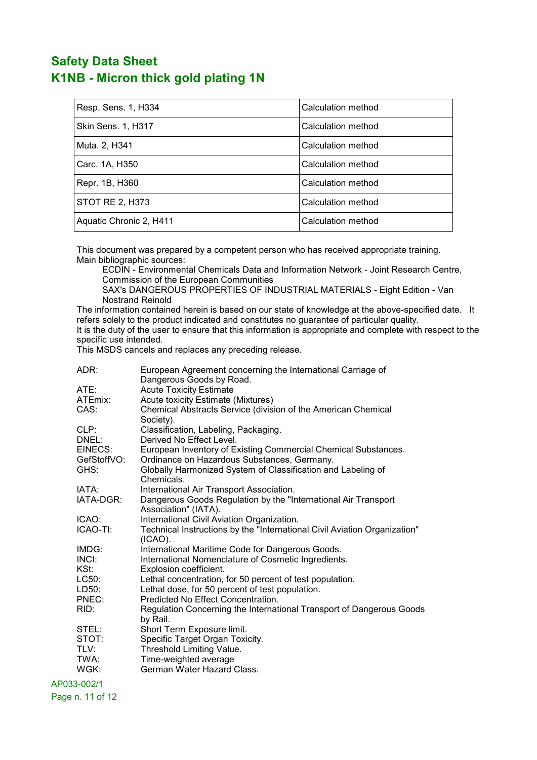| Resp. Sens. 1, H334       | Calculation method |
|---------------------------|--------------------|
| <b>Skin Sens. 1, H317</b> | Calculation method |
| Muta. 2, H341             | Calculation method |
| Carc. 1A, H350            | Calculation method |
| Repr. 1B, H360            | Calculation method |
| STOT RE 2, H373           | Calculation method |
| Aquatic Chronic 2, H411   | Calculation method |

This document was prepared by a competent person who has received appropriate training. Main bibliographic sources:

ECDIN - Environmental Chemicals Data and Information Network - Joint Research Centre, Commission of the European Communities

SAX's DANGEROUS PROPERTIES OF INDUSTRIAL MATERIALS - Eight Edition - Van Nostrand Reinold

The information contained herein is based on our state of knowledge at the above-specified date. It refers solely to the product indicated and constitutes no guarantee of particular quality. It is the duty of the user to ensure that this information is appropriate and complete with respect to the specific use intended.

This MSDS cancels and replaces any preceding release.

| ADR:                   | European Agreement concerning the International Carriage of<br>Dangerous Goods by Road.                       |
|------------------------|---------------------------------------------------------------------------------------------------------------|
| ATE:                   | <b>Acute Toxicity Estimate</b>                                                                                |
| ATEmix:                | Acute toxicity Estimate (Mixtures)                                                                            |
| CAS:                   | Chemical Abstracts Service (division of the American Chemical<br>Society).                                    |
| CLP:                   | Classification, Labeling, Packaging.                                                                          |
| DNEL:                  | Derived No Effect Level.                                                                                      |
| EINECS:<br>GefStoffVO: | European Inventory of Existing Commercial Chemical Substances.<br>Ordinance on Hazardous Substances, Germany. |
| GHS:                   | Globally Harmonized System of Classification and Labeling of<br>Chemicals.                                    |
| IATA:                  | International Air Transport Association.                                                                      |
| IATA-DGR:              | Dangerous Goods Regulation by the "International Air Transport"<br>Association" (IATA).                       |
| ICAO:                  | International Civil Aviation Organization.                                                                    |
| ICAO-TI:               | Technical Instructions by the "International Civil Aviation Organization"<br>$(ICAO)$ .                       |
| IMDG:                  | International Maritime Code for Dangerous Goods.                                                              |
| INCI:                  | International Nomenclature of Cosmetic Ingredients.                                                           |
| KSt:                   | Explosion coefficient.                                                                                        |
| LC50:                  | Lethal concentration, for 50 percent of test population.                                                      |
| LD50:                  | Lethal dose, for 50 percent of test population.                                                               |
| PNEC:                  | Predicted No Effect Concentration.                                                                            |
| RID:                   | Regulation Concerning the International Transport of Dangerous Goods<br>by Rail.                              |
| STEL:                  | Short Term Exposure limit.                                                                                    |
| STOT:                  | Specific Target Organ Toxicity.                                                                               |
| TLV:                   | Threshold Limiting Value.                                                                                     |
| TWA:                   | Time-weighted average                                                                                         |
| WGK:                   | German Water Hazard Class.                                                                                    |

AP033-002/1

Page n. 11 of 12